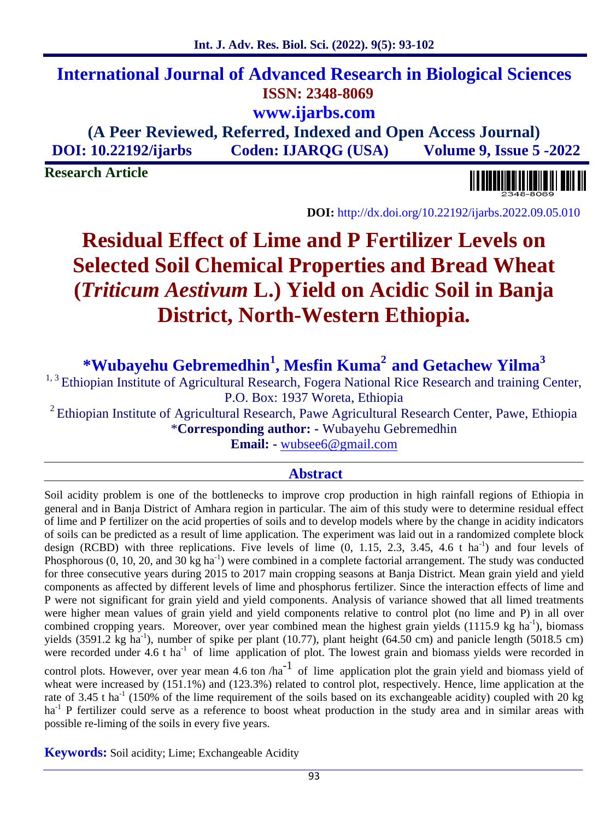# **International Journal of Advanced Research in Biological Sciences ISSN: 2348-8069 www.ijarbs.com**

# **(A Peer Reviewed, Referred, Indexed and Open Access Journal) DOI: 10.22192/ijarbs Coden: IJARQG (USA) Volume 9, Issue 5 -2022**

**Research Article**



**DOI:** http://dx.doi.org/10.22192/ijarbs.2022.09.05.010

# **Residual Effect of Lime and P Fertilizer Levels on Selected Soil Chemical Properties and Bread Wheat (***Triticum Aestivum* **L.) Yield on Acidic Soil in Banja District, North-Western Ethiopia.**

**\*Wubayehu Gebremedhin<sup>1</sup> , Mesfin Kuma<sup>2</sup> and Getachew Yilma<sup>3</sup>**

<sup>1, 3</sup> Ethiopian Institute of Agricultural Research, Fogera National Rice Research and training Center, P.O. Box: 1937 Woreta, Ethiopia

<sup>2</sup> Ethiopian Institute of Agricultural Research, Pawe Agricultural Research Center, Pawe, Ethiopia \***Corresponding author: -** Wubayehu Gebremedhin

**Email: -** wubsee6@gmail.com

## **Abstract**

Soil acidity problem is one of the bottlenecks to improve crop production in high rainfall regions of Ethiopia in general and in Banja District of Amhara region in particular. The aim of this study were to determine residual effect of lime and P fertilizer on the acid properties of soils and to develop models where by the change in acidity indicators of soils can be predicted as a result of lime application. The experiment was laid out in a randomized complete block design (RCBD) with three replications. Five levels of lime (0, 1.15, 2.3, 3.45, 4.6 t ha<sup>-1</sup>) and four levels of Phosphorous  $(0, 10, 20, \text{ and } 30 \text{ kg ha}^{-1})$  were combined in a complete factorial arrangement. The study was conducted for three consecutive years during 2015 to 2017 main cropping seasons at Banja District. Mean grain yield and yield components as affected by different levels of lime and phosphorus fertilizer. Since the interaction effects of lime and P were not significant for grain yield and yield components. Analysis of variance showed that all limed treatments were higher mean values of grain yield and yield components relative to control plot (no lime and P) in all over combined cropping years. Moreover, over year combined mean the highest grain yields (1115.9 kg ha<sup>-1</sup>), biomass yields  $(3591.2 \text{ kg ha}^{-1})$ , number of spike per plant  $(10.77)$ , plant height  $(64.50 \text{ cm})$  and panicle length  $(5018.5 \text{ cm})$ were recorded under 4.6 t ha<sup>-1</sup> of lime application of plot. The lowest grain and biomass yields were recorded in control plots. However, over year mean 4.6 ton /ha<sup>-1</sup> of lime application plot the grain yield and biomass yield of wheat were increased by (151.1%) and (123.3%) related to control plot, respectively. Hence, lime application at the rate of 3.45 t ha<sup>-1</sup> (150% of the lime requirement of the soils based on its exchangeable acidity) coupled with 20 kg ha<sup>-1</sup> P fertilizer could serve as a reference to boost wheat production in the study area and in similar areas with

possible re-liming of the soils in every five years.

**Keywords:** Soil acidity; Lime; Exchangeable Acidity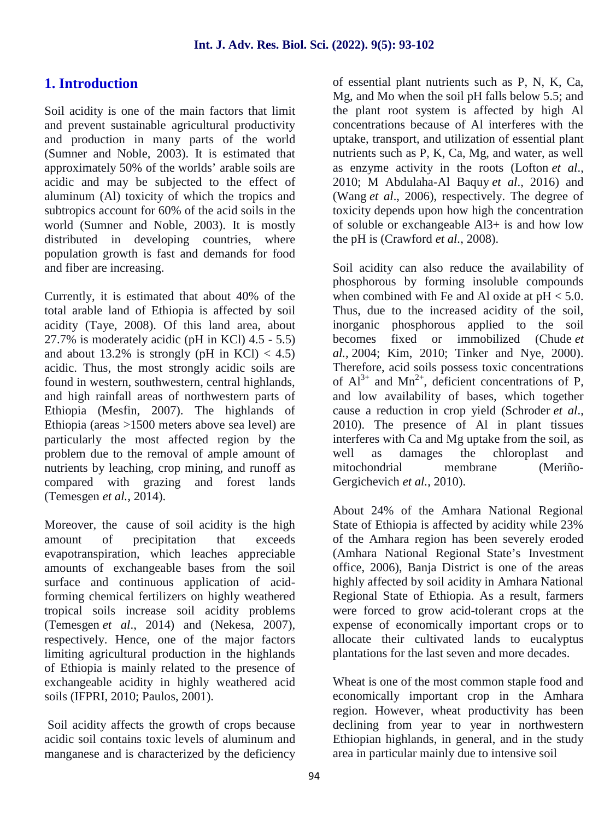# **1. Introduction**

Soil acidity is one of the main factors that limit and prevent sustainable agricultural productivity and production in many parts of the world (Sumner and Noble, 2003). It is estimated that approximately 50% of the worlds' arable soils are acidic and may be subjected to the effect of aluminum (Al) toxicity of which the tropics and subtropics account for 60% of the acid soils in the world (Sumner and Noble, 2003). It is mostly distributed in developing countries, where population growth is fast and demands for food and fiber are increasing.

Currently, it is estimated that about 40% of the total arable land of Ethiopia is affected by soil acidity (Taye, 2008). Of this land area, about 27.7% is moderately acidic (pH in KCl) 4.5 - 5.5) and about 13.2% is strongly (pH in KCl)  $<$  4.5) acidic. Thus, the most strongly acidic soils are found in western, southwestern, central highlands, and high rainfall areas of northwestern parts of Ethiopia (Mesfin, 2007). The highlands of Ethiopia (areas >1500 meters above sea level) are particularly the most affected region by the problem due to the removal of ample amount of nutrients by leaching, crop mining, and runoff as compared with grazing and forest lands (Temesgen *et al.,* 2014).

Moreover, the cause of soil acidity is the high amount of precipitation that exceeds evapotranspiration, which leaches appreciable amounts of exchangeable bases from the soil surface and continuous application of acidforming chemical fertilizers on highly weathered tropical soils increase soil acidity problems (Temesgen *et al*., 2014) and (Nekesa, 2007), respectively. Hence, one of the major factors limiting agricultural production in the highlands of Ethiopia is mainly related to the presence of exchangeable acidity in highly weathered acid soils (IFPRI, 2010; Paulos, 2001).

Soil acidity affects the growth of crops because acidic soil contains toxic levels of aluminum and manganese and is characterized by the deficiency of essential plant nutrients such as P, N, K, Ca, Mg, and Mo when the soil pH falls below 5.5; and the plant root system is affected by high Al concentrations because of Al interferes with the uptake, transport, and utilization of essential plant nutrients such as P, K, Ca, Mg, and water, as well as enzyme activity in the roots (Lofton *et al*., 2010; M Abdulaha-Al Baquy *et al*., 2016) and (Wang *et al*., 2006), respectively. The degree of toxicity depends upon how high the concentration of soluble or exchangeable Al3+ is and how low the pH is (Crawford *et al.,* 2008).

Soil acidity can also reduce the availability of phosphorous by forming insoluble compounds when combined with Fe and Al oxide at  $pH < 5.0$ . Thus, due to the increased acidity of the soil, inorganic phosphorous applied to the soil becomes fixed or immobilized (Chude *et al.,* 2004; Kim, 2010; Tinker and Nye, 2000). Therefore, acid soils possess toxic concentrations of  $Al^{3+}$  and  $Mn^{2+}$ , deficient concentrations of P, and low availability of bases, which together cause a reduction in crop yield (Schroder *et al*., 2010). The presence of Al in plant tissues interferes with Ca and Mg uptake from the soil, as well as damages the chloroplast and mitochondrial membrane (Meriño- Gergichevich *et al.*, 2010).

About 24% of the Amhara National Regional State of Ethiopia is affected by acidity while 23% of the Amhara region has been severely eroded (Amhara National Regional State's Investment office, 2006), Banja District is one of the areas highly affected by soil acidity in Amhara National Regional State of Ethiopia. As a result, farmers were forced to grow acid-tolerant crops at the expense of economically important crops or to allocate their cultivated lands to eucalyptus plantations for the last seven and more decades.

Wheat is one of the most common staple food and economically important crop in the Amhara region. However, wheat productivity has been declining from year to year in northwestern Ethiopian highlands, in general, and in the study area in particular mainly due to intensive soil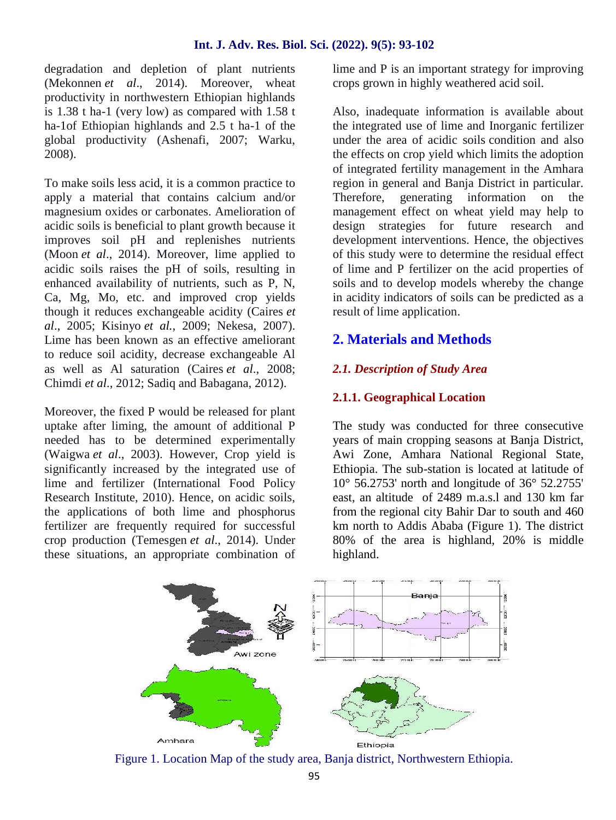degradation and depletion of plant nutrients (Mekonnen *et al*., 2014). Moreover, wheat productivity in northwestern Ethiopian highlands is 1.38 t ha-1 (very low) as compared with 1.58 t ha-1of Ethiopian highlands and 2.5 t ha-1 of the global productivity (Ashenafi, 2007; Warku, 2008).

To make soils less acid, it is a common practice to apply a material that contains calcium and/or magnesium oxides or carbonates. Amelioration of acidic soils is beneficial to plant growth because it improves soil pH and replenishes nutrients (Moon *et al*., 2014). Moreover, lime applied to acidic soils raises the pH of soils, resulting in enhanced availability of nutrients, such as P, N, Ca, Mg, Mo, etc. and improved crop yields though it reduces exchangeable acidity (Caires *et al*., 2005; Kisinyo *et al.*, 2009; Nekesa, 2007). Lime has been known as an effective ameliorant to reduce soil acidity, decrease exchangeable Al as well as Al saturation (Caires *et al*., 2008; Chimdi *et al*., 2012; Sadiq and Babagana, 2012).

Moreover, the fixed P would be released for plant uptake after liming, the amount of additional P needed has to be determined experimentally (Waigwa *et al*., 2003). However, Crop yield is significantly increased by the integrated use of lime and fertilizer (International Food Policy Research Institute, 2010). Hence, on acidic soils, the applications of both lime and phosphorus fertilizer are frequently required for successful crop production (Temesgen *et al*., 2014). Under these situations, an appropriate combination of

lime and P is an important strategy for improving crops grown in highly weathered acid soil.

Also, inadequate information is available about the integrated use of lime and Inorganic fertilizer under the area of acidic soils condition and also the effects on crop yield which limits the adoption of integrated fertility management in the Amhara region in general and Banja District in particular. Therefore, generating information on the management effect on wheat yield may help to design strategies for future research and development interventions. Hence, the objectives of this study were to determine the residual effect of lime and P fertilizer on the acid properties of soils and to develop models whereby the change in acidity indicators of soils can be predicted as a result of lime application.

## **2. Materials and Methods**

#### *2.1. Description of Study Area*

#### **2.1.1. Geographical Location**

The study was conducted for three consecutive years of main cropping seasons at Banja District, Awi Zone, Amhara National Regional State, Ethiopia. The sub-station is located at latitude of 10° 56.2753' north and longitude of 36° 52.2755' east, an altitude of 2489 m.a.s.l and 130 km far from the regional city Bahir Dar to south and 460 km north to Addis Ababa (Figure 1). The district 80% of the area is highland, 20% is middle highland.



Figure 1. Location Map of the study area, Banja district, Northwestern Ethiopia.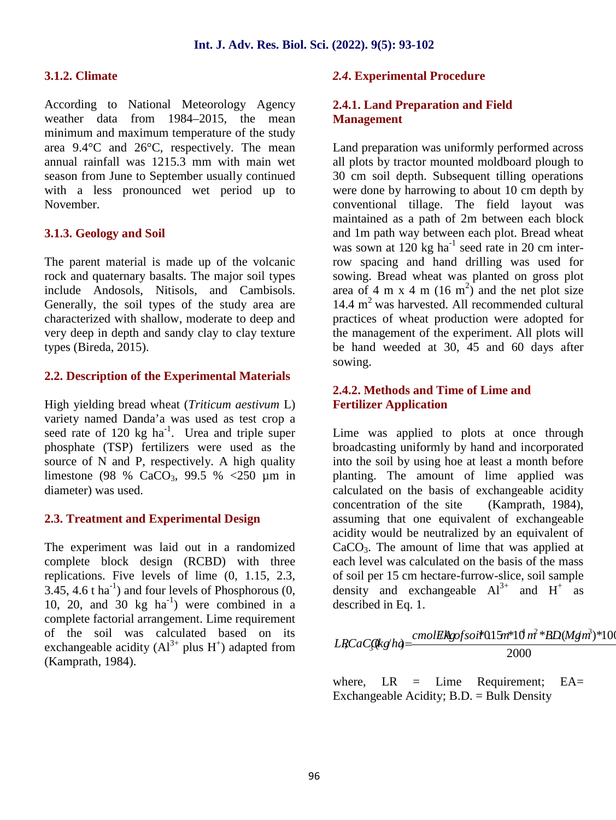#### **3.1.2. Climate**

According to National Meteorology Agency weather data from 1984–2015, the mean minimum and maximum temperature of the study area 9.4°C and 26°C, respectively. The mean annual rainfall was 1215.3 mm with main wet season from June to September usually continued with a less pronounced wet period up to November.

#### **3.1.3. Geology and Soil**

The parent material is made up of the volcanic rock and quaternary basalts. The major soil types include Andosols, Nitisols, and Cambisols. Generally, the soil types of the study area are characterized with shallow, moderate to deep and very deep in depth and sandy clay to clay texture types (Bireda, 2015).

#### **2.2. Description of the Experimental Materials**

High yielding bread wheat (*Triticum aestivum* L) variety named Danda'a was used as test crop a seed rate of 120  $kg$  ha<sup>-1</sup>. Urea and triple super phosphate (TSP) fertilizers were used as the source of N and P, respectively. A high quality limestone (98 % CaCO<sub>3</sub>, 99.5 % <250 µm in diameter) was used.

#### **2.3. Treatment and Experimental Design**

The experiment was laid out in a randomized complete block design (RCBD) with three replications. Five levels of lime (0, 1.15, 2.3,  $3.45$ ,  $4.6$  t ha<sup>-1</sup>) and four levels of Phosphorous  $(0, 1)$ 10, 20, and 30  $kg$   $ha^{-1}$ ) were combined in a combined complete factorial arrangement. Lime requirement of the soil was calculated based on its exchangeable acidity (Al<sup>3+</sup> plus H<sup>+</sup>) adapted from  $LRCa$ (Kamprath, 1984).

#### *2.4***. Experimental Procedure**

#### **2.4.1. Land Preparation and Field Management**

Land preparation was uniformly performed across all plots by tractor mounted moldboard plough to 30 cm soil depth. Subsequent tilling operations were done by harrowing to about 10 cm depth by conventional tillage. The field layout was maintained as a path of 2m between each block and 1m path way between each plot. Bread wheat was sown at  $120 \text{ kg}$  ha<sup>-1</sup> seed rate in 20 cm interrow spacing and hand drilling was used for sowing. Bread wheat was planted on gross plot area of 4 m x 4 m  $(16 \text{ m}^2)$  and the net plot size  $14.4 \text{ m}^2$  was harvested. All recommended cultural practices of wheat production were adopted for the management of the experiment. All plots will be hand weeded at 30, 45 and 60 days after sowing.

#### **2.4.2. Methods and Time of Lime and Fertilizer Application**

Lime was applied to plots at once through broadcasting uniformly by hand and incorporated into the soil by using hoe at least a month before planting. The amount of lime applied was calculated on the basis of exchangeable acidity concentration of the site (Kamprath, 1984), assuming that one equivalent of exchangeable acidity would be neutralized by an equivalent of CaCO3. The amount of lime that was applied at each level was calculated on the basis of the mass of soil per 15 cm hectare-furrow-slice, soil sample density and exchangeable  $Al^{3+}$  and  $H^+$  as described in Eq. 1.

$$
LRCaCQkg'hq = \frac{cmolERgofsoi \text{*}015m \text{*}10m^* \text{ }8D(Mgm)^*100}{2000}
$$

where,  $LR =$  Lime Requirement;  $EA =$ Exchangeable Acidity; B.D. = Bulk Density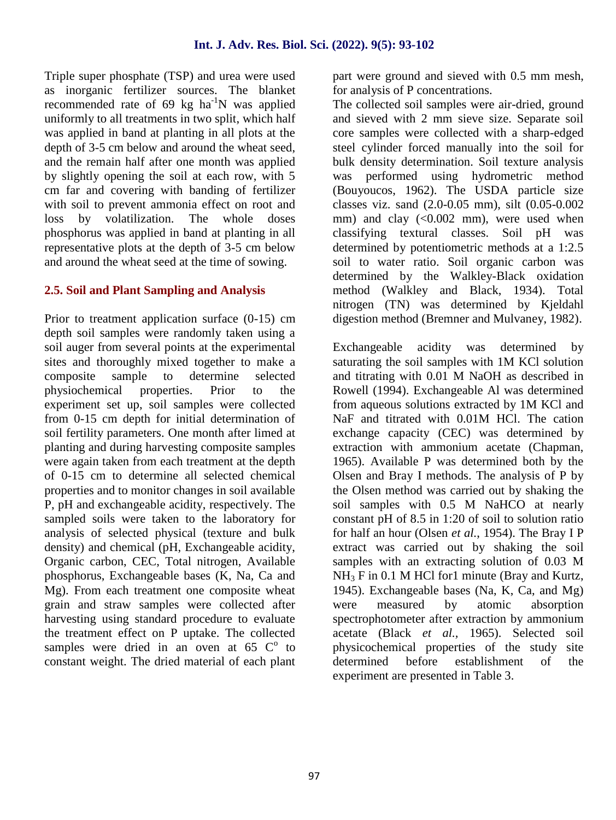Triple super phosphate (TSP) and urea were used as inorganic fertilizer sources. The blanket recommended rate of 69 kg  $ha^{-1}N$  was applied uniformly to all treatments in two split, which half was applied in band at planting in all plots at the depth of 3-5 cm below and around the wheat seed, and the remain half after one month was applied by slightly opening the soil at each row, with 5 cm far and covering with banding of fertilizer with soil to prevent ammonia effect on root and loss by volatilization. The whole doses phosphorus was applied in band at planting in all representative plots at the depth of 3-5 cm below and around the wheat seed at the time of sowing.

#### **2.5. Soil and Plant Sampling and Analysis**

Prior to treatment application surface (0-15) cm depth soil samples were randomly taken using a soil auger from several points at the experimental sites and thoroughly mixed together to make a composite sample to determine selected physiochemical properties. Prior to the experiment set up, soil samples were collected from 0-15 cm depth for initial determination of soil fertility parameters. One month after limed at planting and during harvesting composite samples were again taken from each treatment at the depth of 0-15 cm to determine all selected chemical properties and to monitor changes in soil available P, pH and exchangeable acidity, respectively. The sampled soils were taken to the laboratory for analysis of selected physical (texture and bulk density) and chemical (pH, Exchangeable acidity, Organic carbon, CEC, Total nitrogen, Available phosphorus, Exchangeable bases (K, Na, Ca and Mg). From each treatment one composite wheat grain and straw samples were collected after harvesting using standard procedure to evaluate the treatment effect on P uptake. The collected samples were dried in an oven at  $65 \, \mathrm{C}^{\circ}$  to pl constant weight. The dried material of each plant

part were ground and sieved with 0.5 mm mesh, for analysis of P concentrations.

The collected soil samples were air-dried, ground and sieved with 2 mm sieve size. Separate soil core samples were collected with a sharp-edged steel cylinder forced manually into the soil for bulk density determination. Soil texture analysis was performed using hydrometric method (Bouyoucos, 1962). The USDA particle size classes viz. sand (2.0-0.05 mm), silt (0.05-0.002 mm) and clay (<0.002 mm), were used when classifying textural classes. Soil pH was determined by potentiometric methods at a 1:2.5 soil to water ratio. Soil organic carbon was determined by the Walkley-Black oxidation method (Walkley and Black, 1934). Total nitrogen (TN) was determined by Kjeldahl digestion method (Bremner and Mulvaney, 1982).

Exchangeable acidity was determined by saturating the soil samples with 1M KCl solution and titrating with 0.01 M NaOH as described in Rowell (1994). Exchangeable Al was determined from aqueous solutions extracted by 1M KCl and NaF and titrated with 0.01M HCl. The cation exchange capacity (CEC) was determined by extraction with ammonium acetate (Chapman, 1965). Available P was determined both by the Olsen and Bray I methods. The analysis of P by the Olsen method was carried out by shaking the soil samples with 0.5 M NaHCO at nearly constant pH of 8.5 in 1:20 of soil to solution ratio for half an hour (Olsen *et al.*, 1954). The Bray I P extract was carried out by shaking the soil samples with an extracting solution of 0.03 M NH<sub>3</sub> F in 0.1 M HCl for1 minute (Bray and Kurtz, 1945). Exchangeable bases (Na, K, Ca, and Mg) were measured by atomic absorption spectrophotometer after extraction by ammonium acetate (Black *et al.,* 1965). Selected soil physicochemical properties of the study site determined before establishment of the experiment are presented in Table 3.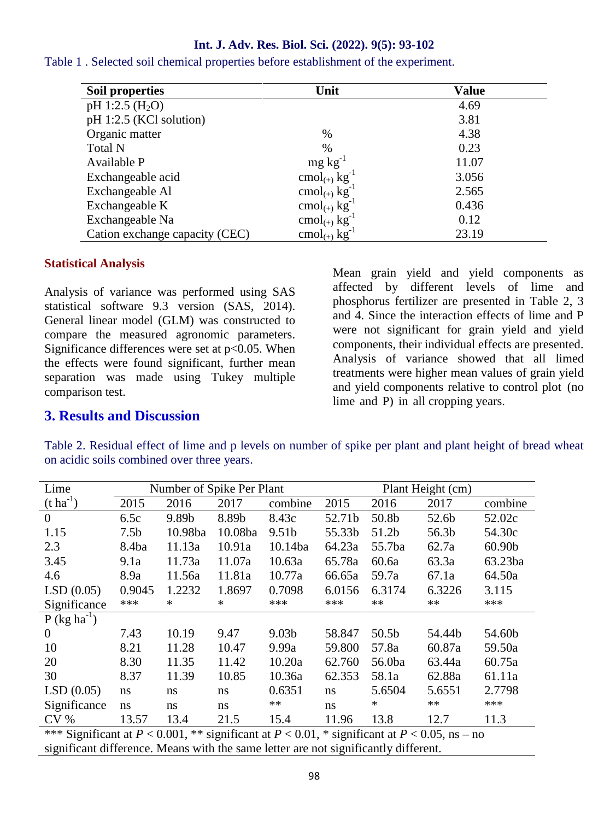| Soil properties                | Unit                                 | <b>Value</b> |
|--------------------------------|--------------------------------------|--------------|
| pH 1:2.5 $(H_2O)$              |                                      | 4.69         |
| pH 1:2.5 (KCl solution)        |                                      | 3.81         |
| Organic matter                 | $\%$                                 | 4.38         |
| <b>Total N</b>                 | $\%$                                 | 0.23         |
| Available P                    | $mg \, kg^{-1}$                      | 11.07        |
| Exchangeable acid              | cmol <sub>(+)</sub> $kg^{-1}$        | 3.056        |
| Exchangeable Al                | cmol <sub>(+)</sub> $kg^{-1}$        | 2.565        |
| Exchangeable K                 | cmol <sub>(+)</sub> $kg^{-1}$        | 0.436        |
| Exchangeable Na                | cmol <sub>(+)</sub> $kg^{-1}$        | 0.12         |
| Cation exchange capacity (CEC) | $\text{cmol}_{(+)}$ kg <sup>-1</sup> | 23.19        |

Table 1 . Selected soil chemical properties before establishment of the experiment.

#### **Statistical Analysis**

Analysis of variance was performed using SAS statistical software 9.3 version (SAS, 2014). General linear model (GLM) was constructed to compare the measured agronomic parameters. Significance differences were set at  $p<0.05$ . When the effects were found significant, further mean separation was made using Tukey multiple comparison test.

Mean grain yield and yield components as affected by different levels of lime and phosphorus fertilizer are presented in Table 2, 3 and 4. Since the interaction effects of lime and P were not significant for grain yield and yield components, their individual effects are presented. Analysis of variance showed that all limed treatments were higher mean values of grain yield and yield components relative to control plot (no lime and P) in all cropping years.

#### **3. Results and Discussion**

Table 2. Residual effect of lime and p levels on number of spike per plant and plant height of bread wheat on acidic soils combined over three years.

| Lime                                                                                                   |                  | Number of Spike Per Plant |         |                   |        |                   | Plant Height (cm) |         |
|--------------------------------------------------------------------------------------------------------|------------------|---------------------------|---------|-------------------|--------|-------------------|-------------------|---------|
| $(t \text{ ha}^{-1})$                                                                                  | 2015             | 2016                      | 2017    | combine           | 2015   | 2016              | 2017              | combine |
| $\overline{0}$                                                                                         | 6.5c             | 9.89b                     | 8.89b   | 8.43c             | 52.71b | 50.8b             | 52.6b             | 52.02c  |
| 1.15                                                                                                   | 7.5 <sub>b</sub> | 10.98ba                   | 10.08ba | 9.51 <sub>b</sub> | 55.33b | 51.2b             | 56.3b             | 54.30c  |
| 2.3                                                                                                    | 8.4ba            | 11.13a                    | 10.91a  | 10.14ba           | 64.23a | 55.7ba            | 62.7a             | 60.90b  |
| 3.45                                                                                                   | 9.1a             | 11.73a                    | 11.07a  | 10.63a            | 65.78a | 60.6a             | 63.3a             | 63.23ba |
| 4.6                                                                                                    | 8.9a             | 11.56a                    | 11.81a  | 10.77a            | 66.65a | 59.7a             | 67.1a             | 64.50a  |
| LSD(0.05)                                                                                              | 0.9045           | 1.2232                    | 1.8697  | 0.7098            | 6.0156 | 6.3174            | 6.3226            | 3.115   |
| Significance                                                                                           | ***              | ∗                         | ∗       | ***               | ***    | **                | $**$              | ***     |
| $P$ (kg ha <sup>-1</sup> )                                                                             |                  |                           |         |                   |        |                   |                   |         |
| $\theta$                                                                                               | 7.43             | 10.19                     | 9.47    | 9.03 <sub>b</sub> | 58.847 | 50.5 <sub>b</sub> | 54.44b            | 54.60b  |
| 10                                                                                                     | 8.21             | 11.28                     | 10.47   | 9.99a             | 59.800 | 57.8a             | 60.87a            | 59.50a  |
| 20                                                                                                     | 8.30             | 11.35                     | 11.42   | 10.20a            | 62.760 | 56.0ba            | 63.44a            | 60.75a  |
| 30                                                                                                     | 8.37             | 11.39                     | 10.85   | 10.36a            | 62.353 | 58.1a             | 62.88a            | 61.11a  |
| LSD(0.05)                                                                                              | <sub>ns</sub>    | ns                        | ns      | 0.6351            | ns     | 5.6504            | 5.6551            | 2.7798  |
| Significance                                                                                           | <sub>ns</sub>    | ns                        | ns      | **                | ns     | *                 | **                | ***     |
| CV <sub>0</sub>                                                                                        | 13.57            | 13.4                      | 21.5    | 15.4              | 11.96  | 13.8              | 12.7              | 11.3    |
| *** Cignificant at $D \neq 0.001$ ** significant at $D \neq 0.01$ * significant at $D \neq 0.05$ no no |                  |                           |         |                   |        |                   |                   |         |

\*\*\* Significant at *P* < 0.001, \*\* significant at *P* < 0.01, \* significant at *P* < 0.05, ns – no significant difference. Means with the same letter are not significantly different.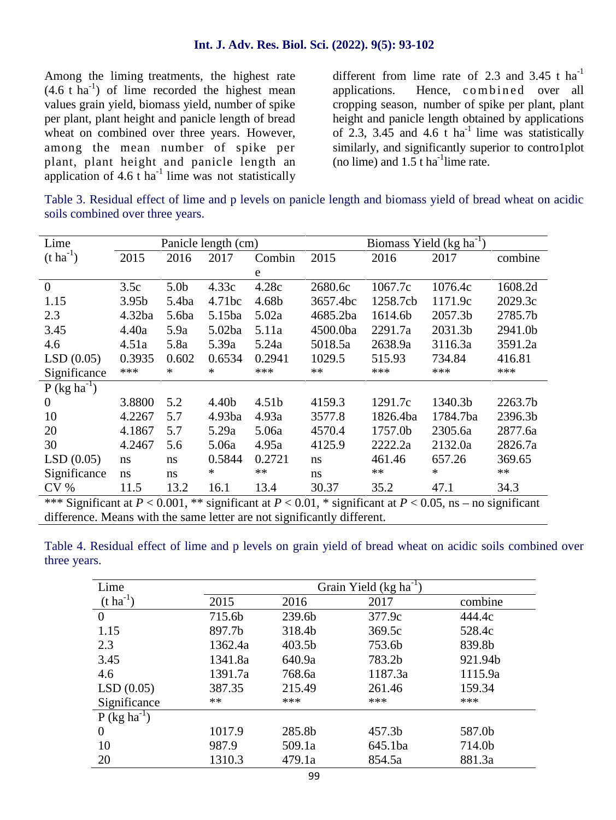Among the liming treatments, the highest rate  $(4.6 \text{ t} \text{ ha}^{-1})$  of lime recorded the highest mean ap values grain yield, biomass yield, number of spike per plant, plant height and panicle length of bread wheat on combined over three years. However, among the mean number of spike per plant, plant height and panicle length an application of  $4.6$  t ha<sup>-1</sup> lime was not statistically

different from lime rate of 2.3 and 3.45 t  $ha^{-1}$ (2022). 9(5): 93-102<br>
different from lime rate of 2.3 and 3.45 t ha<sup>-1</sup><br>
applications. Hence, c om b i n ed over all<br>
cropping season, number of spike per plant, plant height and panicle length obtained by applications of 2.3, 3.45 and 4.6  $\bar{t}$  ha<sup>-1</sup> lime was statistically similarly, and significantly superior to contro1plot (no lime) and  $1.5$  t ha<sup>-1</sup> lime rate.

Table 3. Residual effect of lime and p levels on panicle length and biomass yield of bread wheat on acidic soils combined over three years.

| Lime                                                                                                              |                   |                  | Panicle length (cm) |                   |          | Biomass Yield $(kg ha^{-1})$ |          |         |
|-------------------------------------------------------------------------------------------------------------------|-------------------|------------------|---------------------|-------------------|----------|------------------------------|----------|---------|
| $(t \text{ ha}^{-1})$                                                                                             | 2015              | 2016             | 2017                | Combin            | 2015     | 2016                         | 2017     | combine |
|                                                                                                                   |                   |                  |                     | e                 |          |                              |          |         |
| $\overline{0}$                                                                                                    | 3.5c              | 5.0 <sub>b</sub> | 4.33c               | 4.28c             | 2680.6c  | 1067.7c                      | 1076.4c  | 1608.2d |
| 1.15                                                                                                              | 3.95 <sub>b</sub> | 5.4ba            | 4.71bc              | 4.68b             | 3657.4bc | 1258.7cb                     | 1171.9c  | 2029.3c |
| 2.3                                                                                                               | 4.32ba            | 5.6ba            | 5.15ba              | 5.02a             | 4685.2ba | 1614.6b                      | 2057.3b  | 2785.7b |
| 3.45                                                                                                              | 4.40a             | 5.9a             | 5.02ba              | 5.11a             | 4500.0ba | 2291.7a                      | 2031.3b  | 2941.0b |
| 4.6                                                                                                               | 4.51a             | 5.8a             | 5.39a               | 5.24a             | 5018.5a  | 2638.9a                      | 3116.3a  | 3591.2a |
| LSD(0.05)                                                                                                         | 0.3935            | 0.602            | 0.6534              | 0.2941            | 1029.5   | 515.93                       | 734.84   | 416.81  |
| Significance                                                                                                      | ***               | *                | *                   | ***               | **       | ***                          | ***      | ***     |
| $P$ (kg ha <sup>-1</sup> )                                                                                        |                   |                  |                     |                   |          |                              |          |         |
| $\overline{0}$                                                                                                    | 3.8800            | 5.2              | 4.40b               | 4.51 <sub>b</sub> | 4159.3   | 1291.7c                      | 1340.3b  | 2263.7b |
| 10                                                                                                                | 4.2267            | 5.7              | 4.93ba              | 4.93a             | 3577.8   | 1826.4ba                     | 1784.7ba | 2396.3b |
| 20                                                                                                                | 4.1867            | 5.7              | 5.29a               | 5.06a             | 4570.4   | 1757.0b                      | 2305.6a  | 2877.6a |
| 30                                                                                                                | 4.2467            | 5.6              | 5.06a               | 4.95a             | 4125.9   | 2222.2a                      | 2132.0a  | 2826.7a |
| LSD(0.05)                                                                                                         | ns                | ns               | 0.5844              | 0.2721            | ns       | 461.46                       | 657.26   | 369.65  |
| Significance                                                                                                      | ns                | ns               | *                   | $**$              | ns       | $**$                         | *        | $**$    |
| CV <sub>0</sub>                                                                                                   | 11.5              | 13.2             | 16.1                | 13.4              | 30.37    | 35.2                         | 47.1     | 34.3    |
| *** Significant at $P < 0.001$ , ** significant at $P < 0.01$ , * significant at $P < 0.05$ , ns – no significant |                   |                  |                     |                   |          |                              |          |         |
| difference. Means with the same letter are not significantly different.                                           |                   |                  |                     |                   |          |                              |          |         |

Table 4. Residual effect of lime and p levels on grain yield of bread wheat on acidic soils combined over three years.

| Lime                       |         |        | Grain Yield (kg ha <sup>-1</sup> ) |         |
|----------------------------|---------|--------|------------------------------------|---------|
| $(t \, ha^{-1})$           | 2015    | 2016   | 2017                               | combine |
| $\theta$                   | 715.6b  | 239.6b | 377.9c                             | 444.4c  |
| 1.15                       | 897.7b  | 318.4b | 369.5c                             | 528.4c  |
| 2.3                        | 1362.4a | 403.5b | 753.6b                             | 839.8b  |
| 3.45                       | 1341.8a | 640.9a | 783.2b                             | 921.94b |
| 4.6                        | 1391.7a | 768.6a | 1187.3a                            | 1115.9a |
| LSD(0.05)                  | 387.35  | 215.49 | 261.46                             | 159.34  |
| Significance               | **      | ***    | ***                                | ***     |
| $P$ (kg ha <sup>-1</sup> ) |         |        |                                    |         |
| $\theta$                   | 1017.9  | 285.8b | 457.3b                             | 587.0b  |
| 10                         | 987.9   | 509.1a | 645.1ba                            | 714.0b  |
| 20                         | 1310.3  | 479.1a | 854.5a                             | 881.3a  |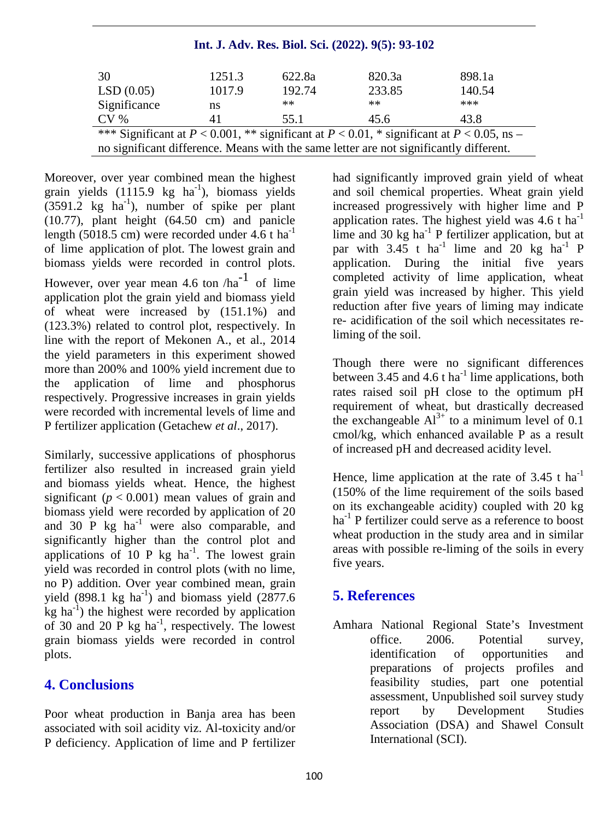| 30                                                                                                 | 1251.3 | 622.8a | 820.3a | 898.1a |
|----------------------------------------------------------------------------------------------------|--------|--------|--------|--------|
| LSD(0.05)                                                                                          | 1017.9 | 192.74 | 233.85 | 140.54 |
| Significance                                                                                       | ns     | **     | $**$   | ***    |
| $CV\%$                                                                                             |        | 55.1   | 45.6   | 43.8   |
| *** Significant at $P < 0.001$ , ** significant at $P < 0.01$ , * significant at $P < 0.05$ , ns – |        |        |        |        |
| no significant difference. Means with the same letter are not significantly different.             |        |        |        |        |

Moreover, over year combined mean the highest grain yields (1115.9 kg ha<sup>-1</sup>), biomass yields  $(3591.2 \text{ kg } \text{ha}^{-1})$ , number of spike per plant (10.77), plant height (64.50 cm) and panicle length (5018.5 cm) were recorded under  $4.6$  t ha<sup>-1</sup> of lime application of plot. The lowest grain and biomass yields were recorded in control plots. However, over year mean 4.6 ton  $/ha^{-1}$  of lime application plot the grain yield and biomass yield of wheat were increased by (151.1%) and (123.3%) related to control plot, respectively. In line with the report of Mekonen A., et al., 2014 the yield parameters in this experiment showed more than 200% and 100% yield increment due to the application of lime and phosphorus respectively. Progressive increases in grain yields were recorded with incremental levels of lime and P fertilizer application (Getachew *et al*., 2017).

Similarly, successive applications of phosphorus fertilizer also resulted in increased grain yield and biomass yields wheat. Hence, the highest significant  $(p < 0.001)$  mean values of grain and biomass yield were recorded by application of 20 and 30 P kg  $ha^{-1}$  were also comparable, and significantly higher than the control plot and applications of 10 P kg ha<sup>-1</sup>. The lowest grain yield was recorded in control plots (with no lime, no P) addition. Over year combined mean, grain yield  $(898.1 \text{ kg} \text{ ha}^{-1})$  and biomass yield  $(2877.6 \text{ m})$  $kg$  ha<sup>-1</sup>) the highest were recorded by application of 30 and 20 P kg  $ha^{-1}$ , respectively. The lowest grain biomass yields were recorded in control plots.

#### **4. Conclusions**

Poor wheat production in Banja area has been associated with soil acidity viz. Al-toxicity and/or P deficiency. Application of lime and P fertilizer

had significantly improved grain yield of wheat and soil chemical properties. Wheat grain yield increased progressively with higher lime and P application rates. The highest yield was  $4.6$  t ha<sup>-1</sup> lime and 30 kg  $ha^{-1}$  P fertilizer application, but at par with  $3.45$  t ha<sup>-1</sup> lime and 20 kg ha<sup>-1</sup> P application. During the initial five years completed activity of lime application, wheat grain yield was increased by higher. This yield reduction after five years of liming may indicate re- acidification of the soil which necessitates reliming of the soil.

Though there were no significant differences between 3.45 and 4.6 t ha<sup>-1</sup> lime applications, both rates raised soil pH close to the optimum pH requirement of wheat, but drastically decreased the exchangeable  $Al^{3+}$  to a minimum level of 0.1 cmol/kg, which enhanced available P as a result of increased pH and decreased acidity level.

Hence, lime application at the rate of  $3.45$  t ha<sup>-1</sup> (150% of the lime requirement of the soils based on its exchangeable acidity) coupled with 20 kg  $ha^{-1}$  P fertilizer could serve as a reference to boost wheat production in the study area and in similar areas with possible re-liming of the soils in every five years.

## **5. References**

Amhara National Regional State's Investment office. 2006. Potential survey, identification of opportunities and preparations of projects profiles and feasibility studies, part one potential assessment, Unpublished soil survey study report by Development Studies Association (DSA) and Shawel Consult International (SCI).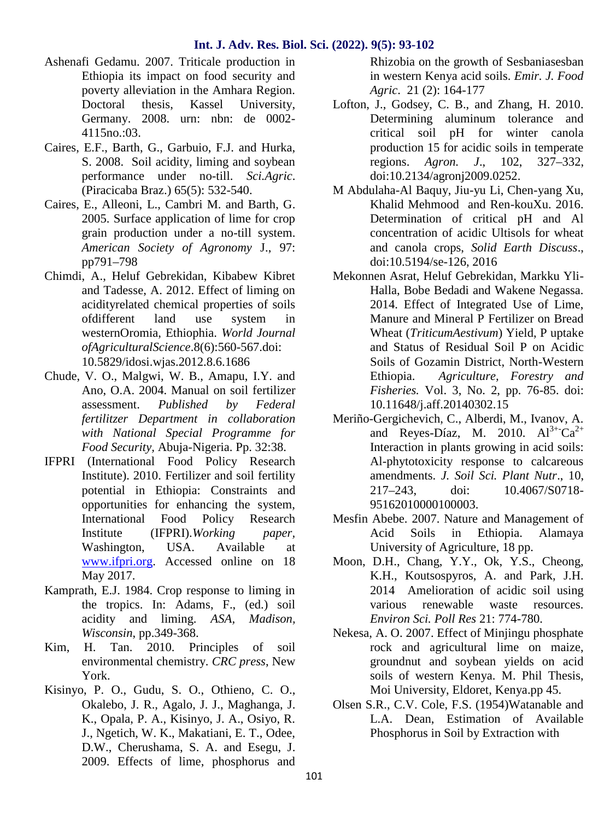- Ashenafi Gedamu. 2007. Triticale production in Ethiopia its impact on food security and poverty alleviation in the Amhara Region. Doctoral thesis, Kassel University, Germany. 2008. urn: nbn: de 0002- 4115no.:03.
- Caires, E.F., Barth, G., Garbuio, F.J. and Hurka, S. 2008. Soil acidity, liming and soybean performance under no-till. *Sci.Agric*. (Piracicaba Braz.) 65(5): 532-540.
- Caires, E., Alleoni, L., Cambri M. and Barth, G. 2005. Surface application of lime for crop grain production under a no-till system. *American Society of Agronomy* J., 97: pp791–798
- Chimdi, A., Heluf Gebrekidan, Kibabew Kibret and Tadesse, A. 2012. Effect of liming on acidityrelated chemical properties of soils ofdifferent land use system in westernOromia, Ethiophia. *World Journal ofAgriculturalScience*.8(6):560-567.doi: 10.5829/idosi.wjas.2012.8.6.1686
- Chude, V. O., Malgwi, W. B., Amapu, I.Y. and Ano, O.A. 2004. Manual on soil fertilizer assessment. *Published by Federal fertilitzer Department in collaboration with National Special Programme for Food Security,* Abuja-Nigeria. Pp. 32:38.
- IFPRI (International Food Policy Research Institute). 2010. Fertilizer and soil fertility potential in Ethiopia: Constraints and opportunities for enhancing the system, International Food Policy Research Institute (IFPRI).*Working paper,* Washington, USA. Available at www.ifpri.org. Accessed online on 18 May 2017.
- Kamprath, E.J. 1984. Crop response to liming in the tropics. In: Adams, F., (ed.) soil acidity and liming. *ASA, Madison, Wisconsin*, pp.349-368.
- Kim, H. Tan. 2010. Principles of soil environmental chemistry. *CRC press*, New York.
- Kisinyo, P. O., Gudu, S. O., Othieno, C. O., Okalebo, J. R., Agalo, J. J., Maghanga, J. K., Opala, P. A., Kisinyo, J. A., Osiyo, R. J., Ngetich, W. K., Makatiani, E. T., Odee, D.W., Cherushama, S. A. and Esegu, J. 2009. Effects of lime, phosphorus and

Rhizobia on the growth of Sesbaniasesban in western Kenya acid soils. *Emir. J. Food Agric*. 21 (2): 164-177

- Lofton, J., Godsey, C. B., and Zhang, H. 2010. Determining aluminum tolerance and critical soil pH for winter canola production 15 for acidic soils in temperate regions. *Agron. J*., 102, 327–332, doi:10.2134/agronj2009.0252.
- M Abdulaha-Al Baquy, Jiu-yu Li, Chen-yang Xu, Khalid Mehmood and Ren-kouXu. 2016. Determination of critical pH and Al concentration of acidic Ultisols for wheat and canola crops, *Solid Earth Discuss*., doi:10.5194/se-126, 2016
- Mekonnen Asrat, Heluf Gebrekidan, Markku Yli- Halla, Bobe Bedadi and Wakene Negassa. 2014. Effect of Integrated Use of Lime, Manure and Mineral P Fertilizer on Bread Wheat (*TriticumAestivum*) Yield, P uptake and Status of Residual Soil P on Acidic Soils of Gozamin District, North-Western Ethiopia. *Agriculture, Forestry and Fisheries.* Vol. 3, No. 2, pp. 76-85. doi: 10.11648/j.aff.20140302.15
- Meriño-Gergichevich, C., Alberdi, M., Ivanov, A. and Reyes-Díaz, M. 2010.  $Al^{3+}Ca^{2+}$ Interaction in plants growing in acid soils: Al-phytotoxicity response to calcareous amendments. *J. Soil Sci. Plant Nutr*., 10, 217–243, doi: 10.4067/S0718- 95162010000100003.
- Mesfin Abebe. 2007. Nature and Management of Acid Soils in Ethiopia. Alamaya University of Agriculture, 18 pp.
- Moon, D.H., Chang, Y.Y., Ok, Y.S., Cheong, K.H., Koutsospyros, A. and Park, J.H. 2014 Amelioration of acidic soil using various renewable waste resources. *Environ Sci. Poll Res* 21: 774-780.
- Nekesa, A. O. 2007. Effect of Minjingu phosphate rock and agricultural lime on maize, groundnut and soybean yields on acid soils of western Kenya. M. Phil Thesis, Moi University, Eldoret, Kenya.pp 45.
- Olsen S.R., C.V. Cole, F.S. (1954)Watanable and L.A. Dean, Estimation of Available Phosphorus in Soil by Extraction with